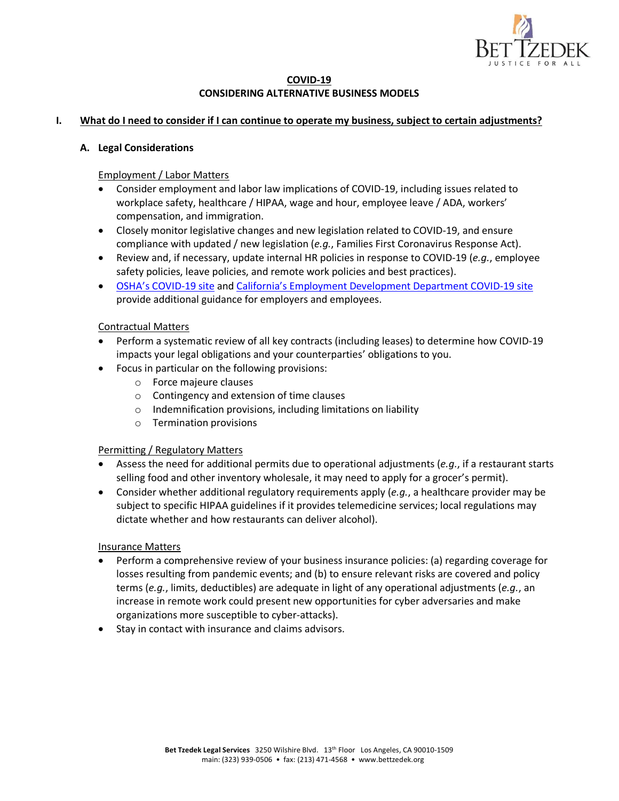

## **COVID-19 CONSIDERING ALTERNATIVE BUSINESS MODELS**

#### **I. What do I need to consider if I can continue to operate my business, subject to certain adjustments?**

#### **A. Legal Considerations**

Employment / Labor Matters

- Consider employment and labor law implications of COVID-19, including issues related to workplace safety, healthcare / HIPAA, wage and hour, employee leave / ADA, workers' compensation, and immigration.
- Closely monitor legislative changes and new legislation related to COVID-19, and ensure compliance with updated / new legislation (*e.g.*, Families First Coronavirus Response Act).
- Review and, if necessary, update internal HR policies in response to COVID-19 (*e.g.*, employee safety policies, leave policies, and remote work policies and best practices).
- OSHA's COVID-19 site and California's Employment Development Department COVID-19 site provide additional guidance for employers and employees.

#### Contractual Matters

- Perform a systematic review of all key contracts (including leases) to determine how COVID-19 impacts your legal obligations and your counterparties' obligations to you.
- Focus in particular on the following provisions:
	- o Force majeure clauses
	- o Contingency and extension of time clauses
	- o Indemnification provisions, including limitations on liability
	- o Termination provisions

#### Permitting / Regulatory Matters

- Assess the need for additional permits due to operational adjustments (*e.g.*, if a restaurant starts selling food and other inventory wholesale, it may need to apply for a grocer's permit).
- Consider whether additional regulatory requirements apply (*e.g.*, a healthcare provider may be subject to specific HIPAA guidelines if it provides telemedicine services; local regulations may dictate whether and how restaurants can deliver alcohol).

#### Insurance Matters

- Perform a comprehensive review of your business insurance policies: (a) regarding coverage for losses resulting from pandemic events; and (b) to ensure relevant risks are covered and policy terms (*e.g.*, limits, deductibles) are adequate in light of any operational adjustments (*e.g.*, an increase in remote work could present new opportunities for cyber adversaries and make organizations more susceptible to cyber-attacks).
- Stay in contact with insurance and claims advisors.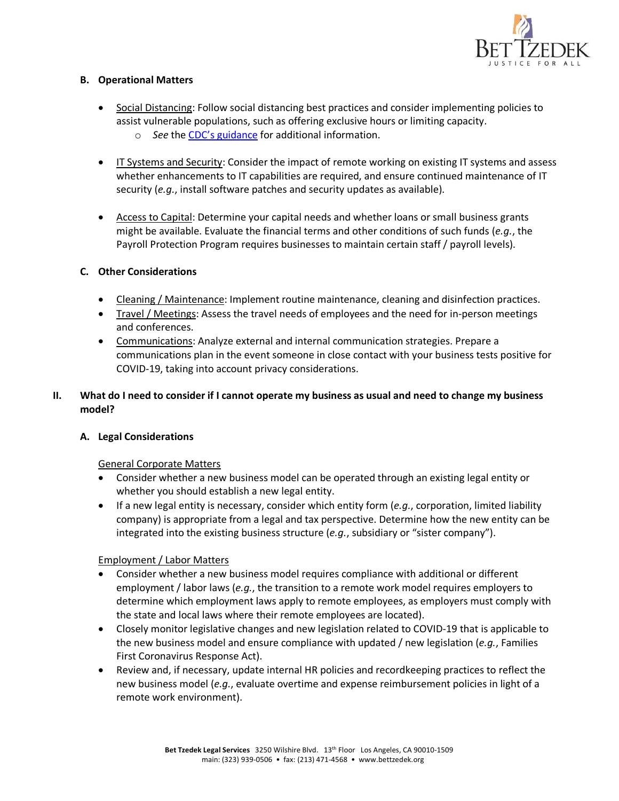

## **B. Operational Matters**

- Social Distancing: Follow social distancing best practices and consider implementing policies to assist vulnerable populations, such as offering exclusive hours or limiting capacity. o *See* the CDC's guidance for additional information.
- IT Systems and Security: Consider the impact of remote working on existing IT systems and assess whether enhancements to IT capabilities are required, and ensure continued maintenance of IT security (*e.g.*, install software patches and security updates as available).
- Access to Capital: Determine your capital needs and whether loans or small business grants might be available. Evaluate the financial terms and other conditions of such funds (*e.g.*, the Payroll Protection Program requires businesses to maintain certain staff / payroll levels).

## **C. Other Considerations**

- Cleaning / Maintenance: Implement routine maintenance, cleaning and disinfection practices.
- Travel / Meetings: Assess the travel needs of employees and the need for in-person meetings and conferences.
- Communications: Analyze external and internal communication strategies. Prepare a communications plan in the event someone in close contact with your business tests positive for COVID-19, taking into account privacy considerations.

# **II. What do I need to consider if I cannot operate my business as usual and need to change my business model?**

# **A. Legal Considerations**

#### General Corporate Matters

- Consider whether a new business model can be operated through an existing legal entity or whether you should establish a new legal entity.
- If a new legal entity is necessary, consider which entity form (*e.g.*, corporation, limited liability company) is appropriate from a legal and tax perspective. Determine how the new entity can be integrated into the existing business structure (*e.g.*, subsidiary or "sister company").

#### Employment / Labor Matters

- Consider whether a new business model requires compliance with additional or different employment / labor laws (*e.g.*, the transition to a remote work model requires employers to determine which employment laws apply to remote employees, as employers must comply with the state and local laws where their remote employees are located).
- Closely monitor legislative changes and new legislation related to COVID-19 that is applicable to the new business model and ensure compliance with updated / new legislation (*e.g.*, Families First Coronavirus Response Act).
- Review and, if necessary, update internal HR policies and recordkeeping practices to reflect the new business model (*e.g.*, evaluate overtime and expense reimbursement policies in light of a remote work environment).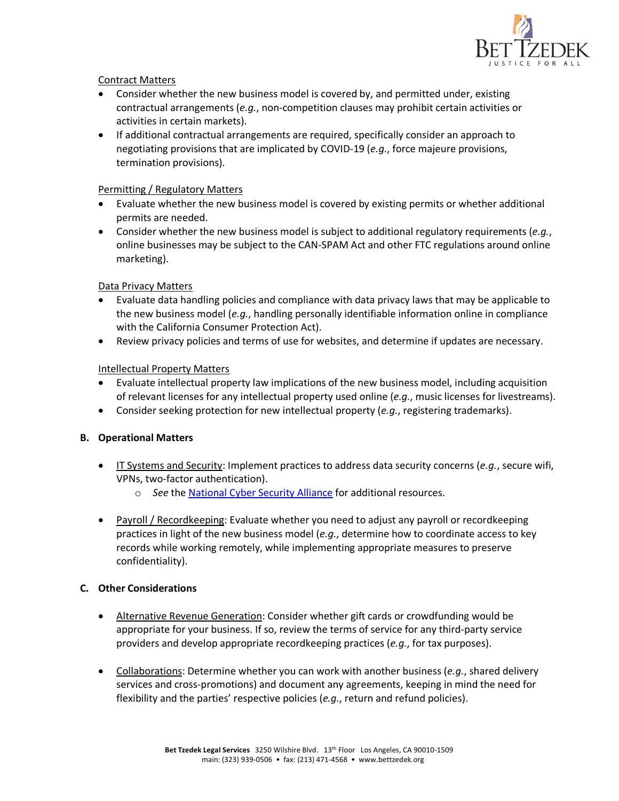

## Contract Matters

- Consider whether the new business model is covered by, and permitted under, existing contractual arrangements (*e.g.*, non-competition clauses may prohibit certain activities or activities in certain markets).
- If additional contractual arrangements are required, specifically consider an approach to negotiating provisions that are implicated by COVID-19 (*e.g.*, force majeure provisions, termination provisions).

## Permitting / Regulatory Matters

- Evaluate whether the new business model is covered by existing permits or whether additional permits are needed.
- Consider whether the new business model is subject to additional regulatory requirements (*e.g.*, online businesses may be subject to the CAN-SPAM Act and other FTC regulations around online marketing).

## Data Privacy Matters

- Evaluate data handling policies and compliance with data privacy laws that may be applicable to the new business model (*e.g.*, handling personally identifiable information online in compliance with the California Consumer Protection Act).
- Review privacy policies and terms of use for websites, and determine if updates are necessary.

## Intellectual Property Matters

- Evaluate intellectual property law implications of the new business model, including acquisition of relevant licenses for any intellectual property used online (*e.g.*, music licenses for livestreams).
- Consider seeking protection for new intellectual property (*e.g.*, registering trademarks).

#### **B. Operational Matters**

- IT Systems and Security: Implement practices to address data security concerns (*e.g.*, secure wifi, VPNs, two-factor authentication).
	- o *See* the National Cyber Security Alliance for additional resources.
- Payroll / Recordkeeping: Evaluate whether you need to adjust any payroll or recordkeeping practices in light of the new business model (*e.g.*, determine how to coordinate access to key records while working remotely, while implementing appropriate measures to preserve confidentiality).

#### **C. Other Considerations**

- Alternative Revenue Generation: Consider whether gift cards or crowdfunding would be appropriate for your business. If so, review the terms of service for any third-party service providers and develop appropriate recordkeeping practices (*e.g.*, for tax purposes).
- Collaborations: Determine whether you can work with another business (*e.g.*, shared delivery services and cross-promotions) and document any agreements, keeping in mind the need for flexibility and the parties' respective policies (*e.g.*, return and refund policies).